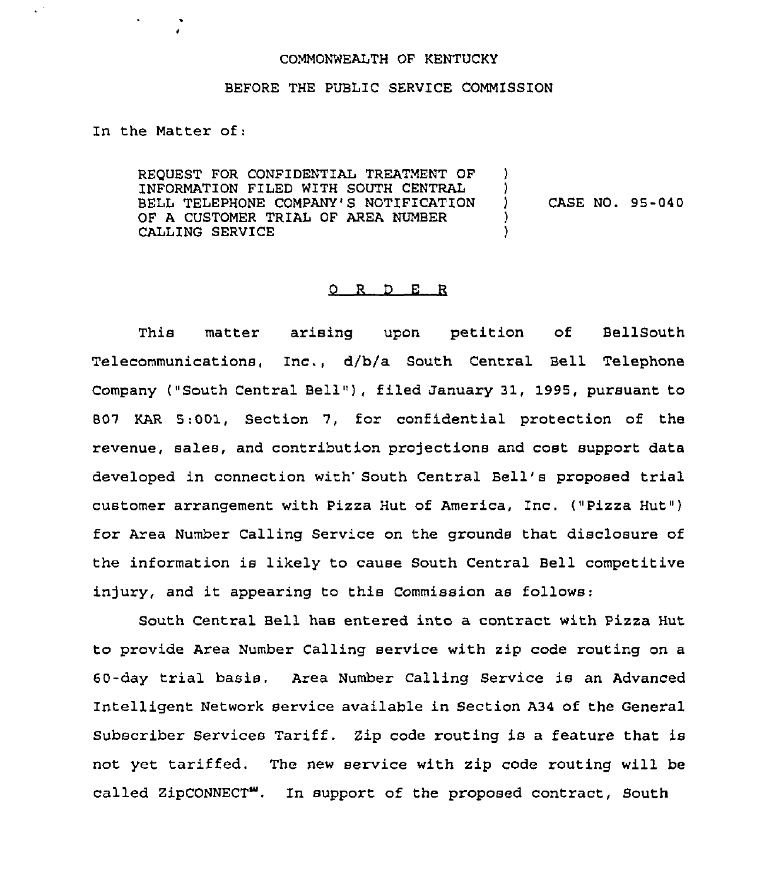## COMMONWEALTH OF KENTUCKY

## BEFORE THE PUBLIC SERVICE COMMISSION

In the Matter of;

 $\zeta^{(2)}$ 

REQUEST FOR CONFIDENTIAL TREATMENT OF INFORMATION FILED WITH SOUTH CENTRAL BELL TELEPHONE COMPANY'S NOTIFICATION OF A CUSTOMER TRIAL OF AREA NUMBER CALLING SERVICE )  $\left\{ \right\}$ ) CASE NO. 95-040 ) )

## 0 R <sup>D</sup> E R

This matter arising upon petition of BellSouth Telecommunications, Inc., d/b/a South Central Bell Telephone Company ("South Central Bell"), filed January 31, 1995, pursuant to 507 KAR 5:001, Section 7, for confidential protection of the revenue, sales, and contribution projections and cost support data developed in connection with' South Central Bell's proposed trial customer arrangement with Pizza Hut of America, Inc. ("Pizza Hut") for Area Number Calling Service on the grounds that disclosure of the information is likely to cause South Central Bell competitive injury, and it appearing to this Commission as follows:

South Central Bell has entered into a contract with Pizza Hut to provide Area Number Calling service with zip code routing on a 60-day trial basis. Area Number Calling Service is an Advanced Intelligent Network service available in Section A34 of the General Subscriber Services Tariff. 2ip code routing is a feature that is not yet tariffed. The new service with zip code routing will be called ZipCONNECT". In support of the proposed contract, South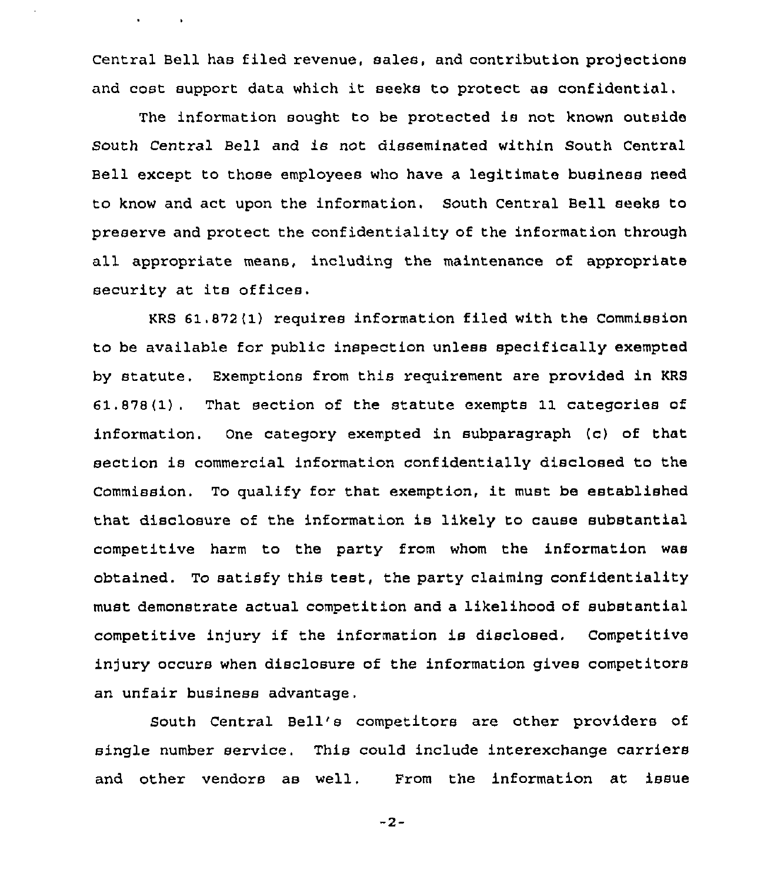Central Bell has filed revenue, sales, and contribution projections and cost support data which it seeks to protect as confidential.

 $\mathbf{v} = \mathbf{v} \times \mathbf{v}$  .  $\mathbf{v} = \mathbf{v}$ 

The information sought to be protected is not known outside South Central Bell and is not disseminated within South Central Bell except to those employees who have a legitimate business need to know and act upon the information. South Central Bell seeks to preserve and protect the confidentiality of the information through all appropriate means, includirg the maintenance of appropriate security at ite offices.

KRs 61.872(1) requires information filed with the commission to be available for public inspection unless specifically exempted by statute. Exemptions from this requirement are provided in KRS 61.878(1). That section of the statute exempts 11 categories of information. One category exempted in subparagraph (c) of that section is commercial information confidentially disclosed to the Commission. To qualify for that exemption, it must be established that disclosure of the information is likely to cause substantial competitive harm to the party from whom the information was obtained. To satisfy this test, the party claiming confidentiality must demonstrate actual competition and a likelihood of substantial competitive in)ury if the information is disclosed. Competitive injury occurs when disclosure of the information gives competitors an unfair business advantage.

South Central Bell's competitors are other providers of single number service. This could include interexchange carriers and other vendors as well. From the information at issue

 $-2-$